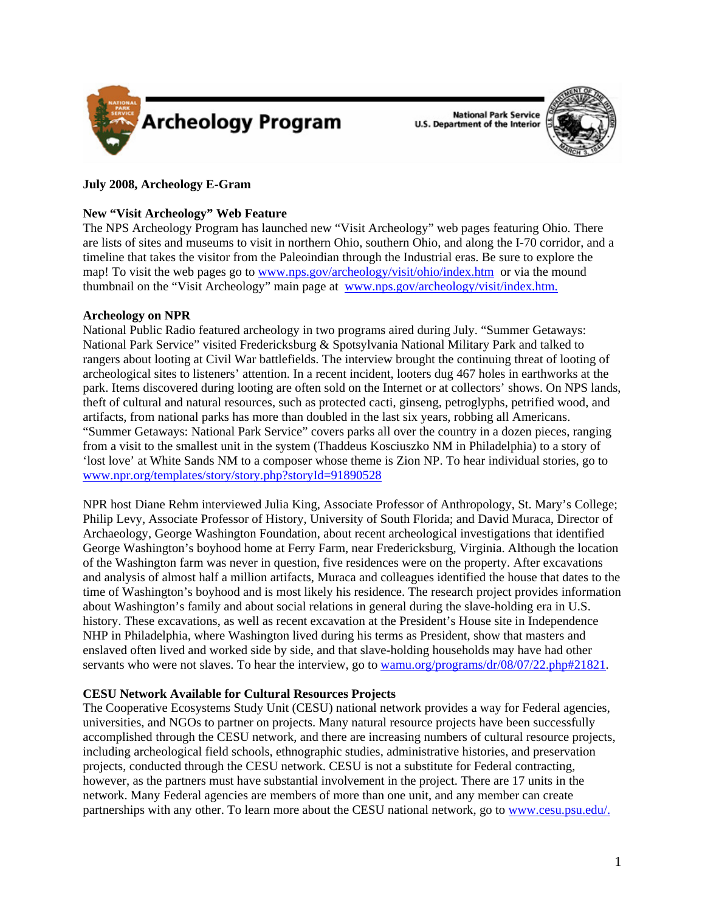

**National Park Service U.S. Department of the Interior** 



# **July 2008, Archeology E-Gram**

# **New "Visit Archeology" Web Feature**

The NPS Archeology Program has launched new "Visit Archeology" web pages featuring Ohio. There are lists of sites and museums to visit in northern Ohio, southern Ohio, and along the I-70 corridor, and a timeline that takes the visitor from the Paleoindian through the Industrial eras. Be sure to explore the map! To visit the web pages go to<www.nps.gov/archeology/visit/ohio/index.htm> or via the mound thumbnail on the "Visit Archeology" main page at [www.nps.gov/archeology/visit/index.htm.](www.nps.gov/archeology/visit/index.htm)

#### **Archeology on NPR**

National Public Radio featured archeology in two programs aired during July. "Summer Getaways: National Park Service" visited Fredericksburg & Spotsylvania National Military Park and talked to rangers about looting at Civil War battlefields. The interview brought the continuing threat of looting of archeological sites to listeners' attention. In a recent incident, looters dug 467 holes in earthworks at the park. Items discovered during looting are often sold on the Internet or at collectors' shows. On NPS lands, theft of cultural and natural resources, such as protected cacti, ginseng, petroglyphs, petrified wood, and artifacts, from national parks has more than doubled in the last six years, robbing all Americans. "Summer Getaways: National Park Service" covers parks all over the country in a dozen pieces, ranging from a visit to the smallest unit in the system (Thaddeus Kosciuszko NM in Philadelphia) to a story of 'lost love' at White Sands NM to a composer whose theme is Zion NP. To hear individual stories, go to <www.npr.org/templates/story/story.php?storyId=91890528>

NPR host Diane Rehm interviewed Julia King, Associate Professor of Anthropology, St. Mary's College; Philip Levy, Associate Professor of History, University of South Florida; and David Muraca, Director of Archaeology, George Washington Foundation, about recent archeological investigations that identified George Washington's boyhood home at Ferry Farm, near Fredericksburg, Virginia. Although the location of the Washington farm was never in question, five residences were on the property. After excavations and analysis of almost half a million artifacts, Muraca and colleagues identified the house that dates to the time of Washington's boyhood and is most likely his residence. The research project provides information about Washington's family and about social relations in general during the slave-holding era in U.S. history. These excavations, as well as recent excavation at the President's House site in Independence NHP in Philadelphia, where Washington lived during his terms as President, show that masters and enslaved often lived and worked side by side, and that slave-holding households may have had other servants who were not slaves. To hear the interview, go to <wamu.org/programs/dr/08/07/22.php#21821>.

# **CESU Network Available for Cultural Resources Projects**

The Cooperative Ecosystems Study Unit (CESU) national network provides a way for Federal agencies, universities, and NGOs to partner on projects. Many natural resource projects have been successfully accomplished through the CESU network, and there are increasing numbers of cultural resource projects, including archeological field schools, ethnographic studies, administrative histories, and preservation projects, conducted through the CESU network. CESU is not a substitute for Federal contracting, however, as the partners must have substantial involvement in the project. There are 17 units in the network. Many Federal agencies are members of more than one unit, and any member can create partnerships with any other. To learn more about the CESU national network, go to [www.cesu.psu.edu/.](www.cesu.psu.edu/)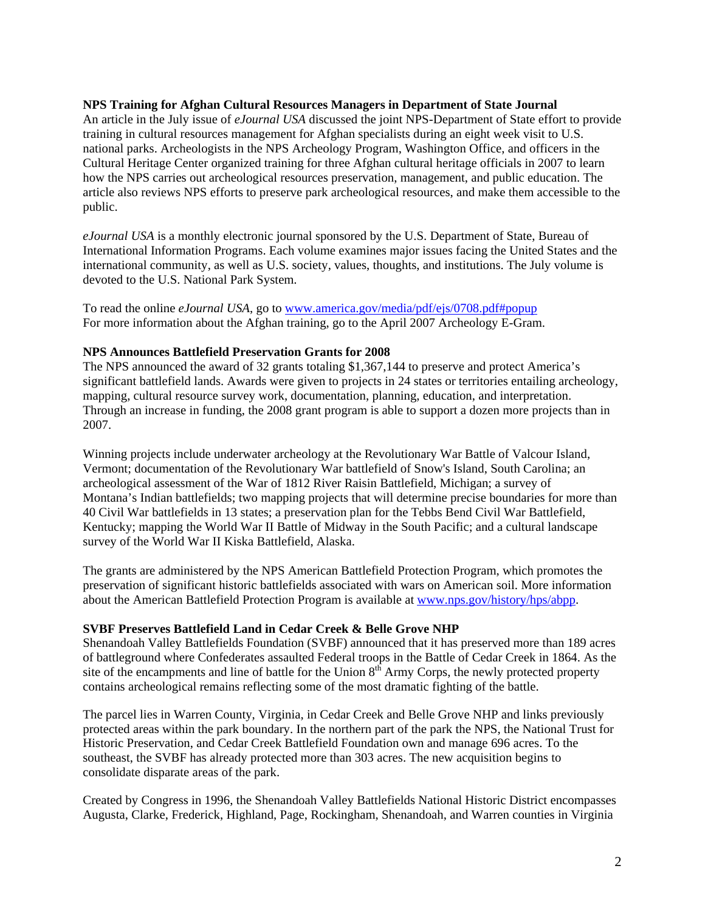# **NPS Training for Afghan Cultural Resources Managers in Department of State Journal**

An article in the July issue of *eJournal USA* discussed the joint NPS-Department of State effort to provide training in cultural resources management for Afghan specialists during an eight week visit to U.S. national parks. Archeologists in the NPS Archeology Program, Washington Office, and officers in the Cultural Heritage Center organized training for three Afghan cultural heritage officials in 2007 to learn how the NPS carries out archeological resources preservation, management, and public education. The article also reviews NPS efforts to preserve park archeological resources, and make them accessible to the public.

*eJournal USA* is a monthly electronic journal sponsored by the U.S. Department of State, Bureau of International Information Programs. Each volume examines major issues facing the United States and the international community, as well as U.S. society, values, thoughts, and institutions. The July volume is devoted to the U.S. National Park System.

To read the online *eJournal USA*, go to <www.america.gov/media/pdf/ejs/0708.pdf#popup> For more information about the Afghan training, go to the April 2007 Archeology E-Gram.

# **NPS Announces Battlefield Preservation Grants for 2008**

The NPS announced the award of 32 grants totaling \$1,367,144 to preserve and protect America's significant battlefield lands. Awards were given to projects in 24 states or territories entailing archeology, mapping, cultural resource survey work, documentation, planning, education, and interpretation. Through an increase in funding, the 2008 grant program is able to support a dozen more projects than in 2007.

Winning projects include underwater archeology at the Revolutionary War Battle of Valcour Island, Vermont; documentation of the Revolutionary War battlefield of Snow's Island, South Carolina; an archeological assessment of the War of 1812 River Raisin Battlefield, Michigan; a survey of Montana's Indian battlefields; two mapping projects that will determine precise boundaries for more than 40 Civil War battlefields in 13 states; a preservation plan for the Tebbs Bend Civil War Battlefield, Kentucky; mapping the World War II Battle of Midway in the South Pacific; and a cultural landscape survey of the World War II Kiska Battlefield, Alaska.

The grants are administered by the NPS American Battlefield Protection Program, which promotes the preservation of significant historic battlefields associated with wars on American soil. More information about the American Battlefield Protection Program is available at<www.nps.gov/history/hps/abpp>.

# **SVBF Preserves Battlefield Land in Cedar Creek & Belle Grove NHP**

Shenandoah Valley Battlefields Foundation (SVBF) announced that it has preserved more than 189 acres of battleground where Confederates assaulted Federal troops in the Battle of Cedar Creek in 1864. As the site of the encampments and line of battle for the Union  $8<sup>th</sup>$  Army Corps, the newly protected property contains archeological remains reflecting some of the most dramatic fighting of the battle.

The parcel lies in Warren County, Virginia, in Cedar Creek and Belle Grove NHP and links previously protected areas within the park boundary. In the northern part of the park the NPS, the National Trust for Historic Preservation, and Cedar Creek Battlefield Foundation own and manage 696 acres. To the southeast, the SVBF has already protected more than 303 acres. The new acquisition begins to consolidate disparate areas of the park.

Created by Congress in 1996, the Shenandoah Valley Battlefields National Historic District encompasses Augusta, Clarke, Frederick, Highland, Page, Rockingham, Shenandoah, and Warren counties in Virginia